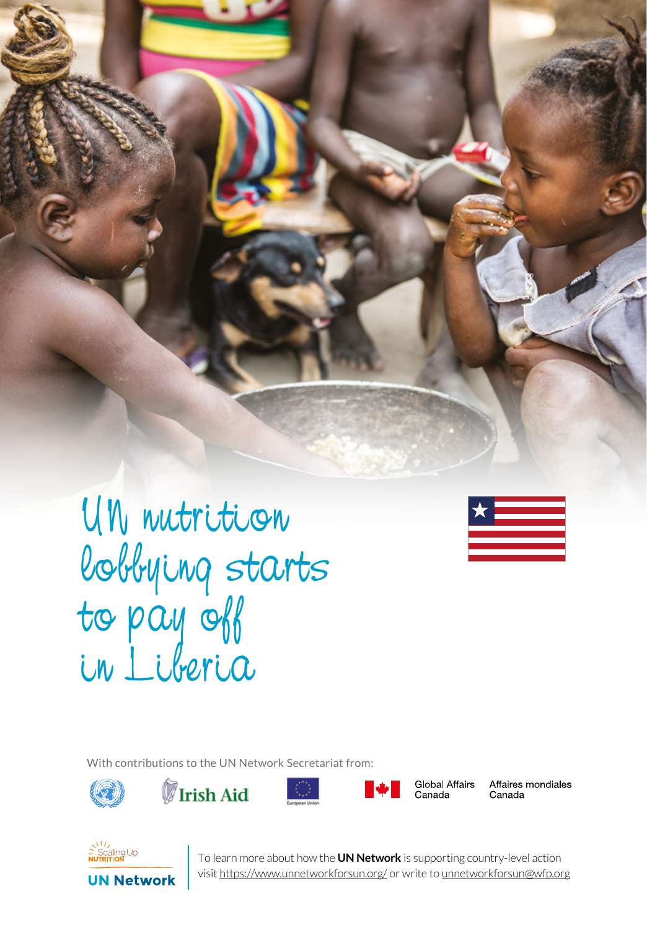

UN nutrition lobbying starts to pay off in Liberia



With contributions to the UN Network Secretariat from:









Global Affairs Canada

Affaires mondiales Canada



**1** To learn more about how the **UN Network** is supporting country-level action visit https://www.unnetworkforsun.org/ or write to unnetworkforsun@wfp.org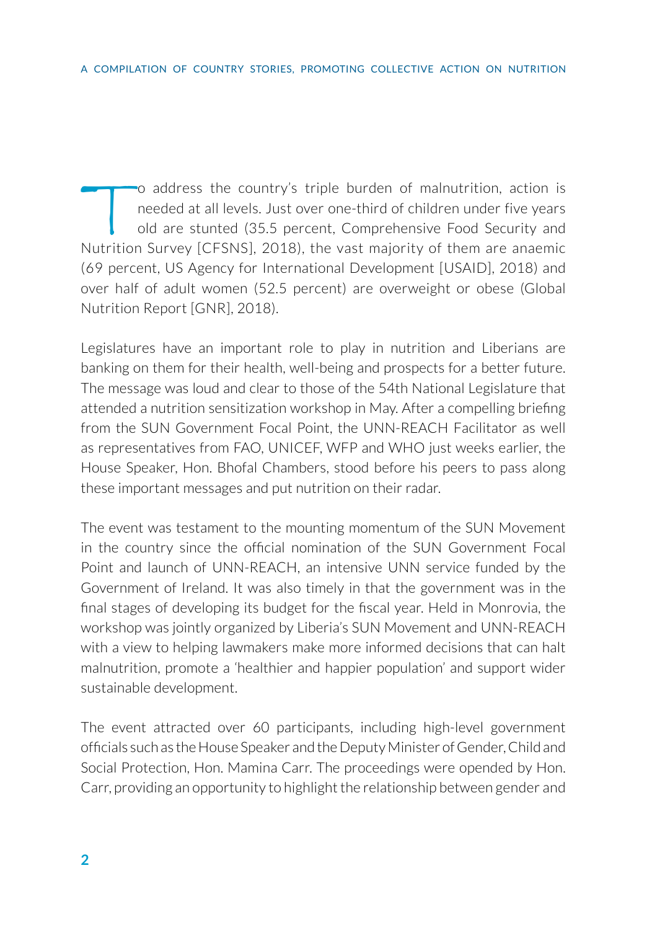To address the country's triple burden of malnutrition, action is<br>needed at all levels. Just over one-third of children under five years<br>old are stunted (35.5 percent, Comprehensive Food Security and<br>Nutrition Survey [CESN needed at all levels. Just over one-third of children under five years old are stunted (35.5 percent, Comprehensive Food Security and Nutrition Survey [CFSNS], 2018), the vast majority of them are anaemic (69 percent, US Agency for International Development [USAID], 2018) and over half of adult women (52.5 percent) are overweight or obese (Global Nutrition Report [GNR], 2018).

Legislatures have an important role to play in nutrition and Liberians are banking on them for their health, well-being and prospects for a better future. The message was loud and clear to those of the 54th National Legislature that attended a nutrition sensitization workshop in May. After a compelling briefing from the SUN Government Focal Point, the UNN-REACH Facilitator as well as representatives from FAO, UNICEF, WFP and WHO just weeks earlier, the House Speaker, Hon. Bhofal Chambers, stood before his peers to pass along these important messages and put nutrition on their radar.

The event was testament to the mounting momentum of the SUN Movement in the country since the official nomination of the SUN Government Focal Point and launch of UNN-REACH, an intensive UNN service funded by the Government of Ireland. It was also timely in that the government was in the final stages of developing its budget for the fiscal year. Held in Monrovia, the workshop was jointly organized by Liberia's SUN Movement and UNN-REACH with a view to helping lawmakers make more informed decisions that can halt malnutrition, promote a 'healthier and happier population' and support wider sustainable development.

The event attracted over 60 participants, including high-level government officials such as the House Speaker and the Deputy Minister of Gender, Child and Social Protection, Hon. Mamina Carr. The proceedings were opended by Hon. Carr, providing an opportunity to highlight the relationship between gender and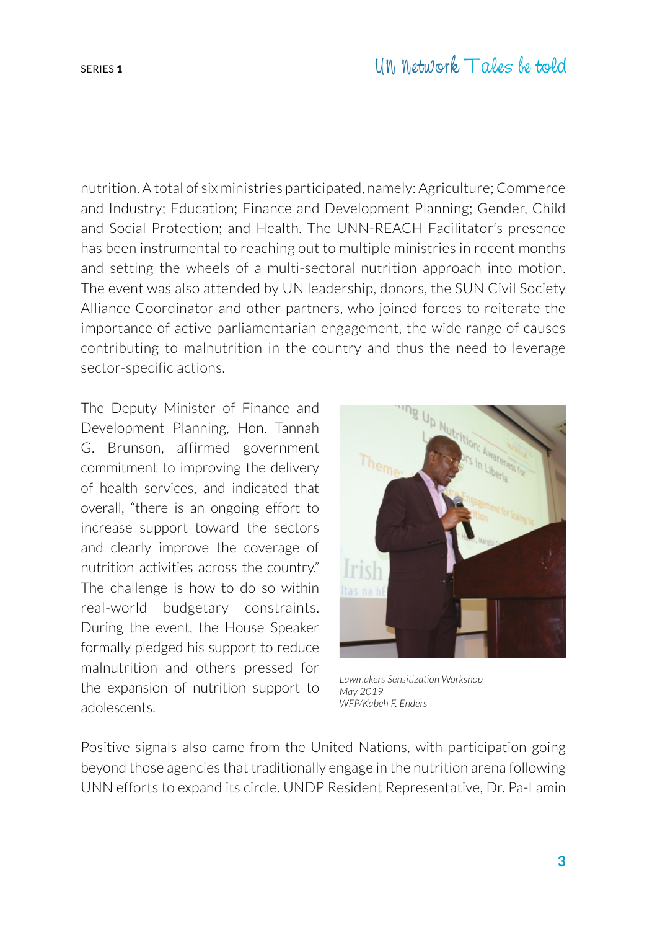nutrition. A total of six ministries participated, namely: Agriculture; Commerce and Industry; Education; Finance and Development Planning; Gender, Child and Social Protection; and Health. The UNN-REACH Facilitator's presence has been instrumental to reaching out to multiple ministries in recent months and setting the wheels of a multi-sectoral nutrition approach into motion. The event was also attended by UN leadership, donors, the SUN Civil Society Alliance Coordinator and other partners, who joined forces to reiterate the importance of active parliamentarian engagement, the wide range of causes contributing to malnutrition in the country and thus the need to leverage sector-specific actions.

The Deputy Minister of Finance and Development Planning, Hon. Tannah G. Brunson, affirmed government commitment to improving the delivery of health services, and indicated that overall, "there is an ongoing effort to increase support toward the sectors and clearly improve the coverage of nutrition activities across the country." The challenge is how to do so within real-world budgetary constraints. During the event, the House Speaker formally pledged his support to reduce malnutrition and others pressed for the expansion of nutrition support to adolescents.



*Lawmakers Sensitization Workshop May 2019 WFP/Kabeh F. Enders*

Positive signals also came from the United Nations, with participation going beyond those agencies that traditionally engage in the nutrition arena following UNN efforts to expand its circle. UNDP Resident Representative, Dr. Pa-Lamin